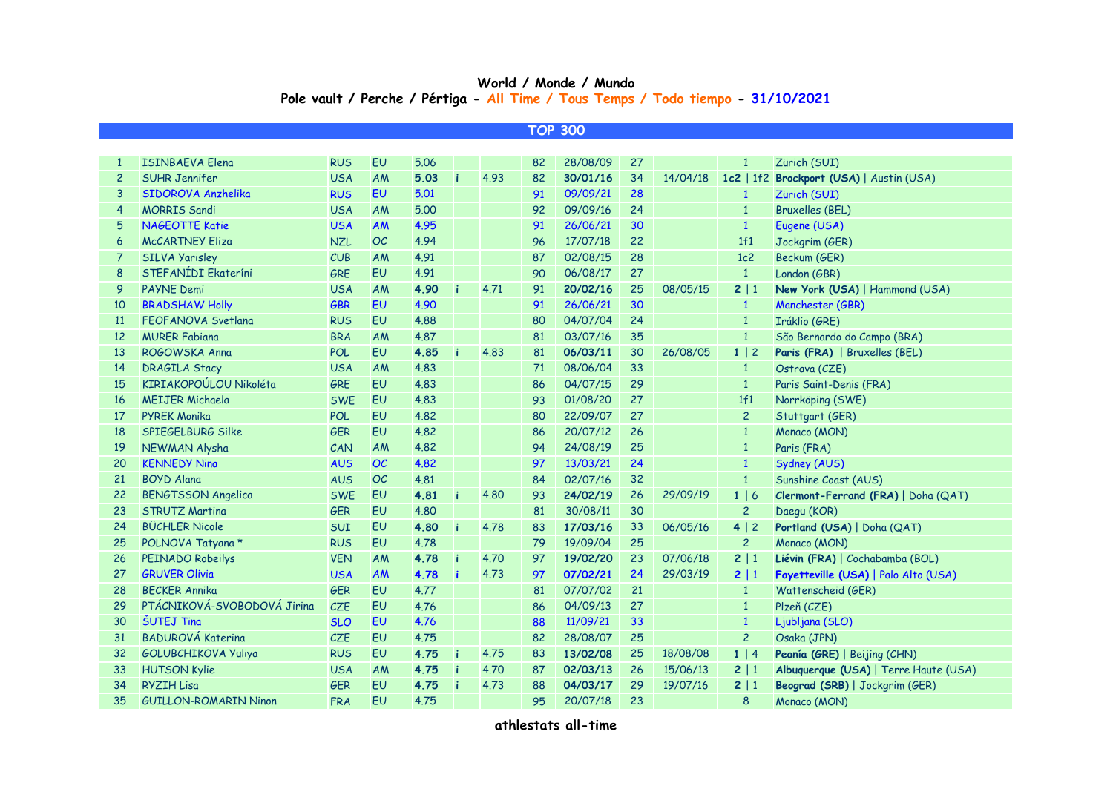## **World / Monde / Mundo Pole vault / Perche / Pértiga - All Time / Tous Temps / Todo tiempo - 31/10/2021**

|                | <b>TOP 300</b>               |            |           |      |   |      |    |          |    |          |                |                                          |  |
|----------------|------------------------------|------------|-----------|------|---|------|----|----------|----|----------|----------------|------------------------------------------|--|
|                |                              |            |           |      |   |      |    |          |    |          |                |                                          |  |
| $\mathbf{1}$   | <b>ISINBAEVA Elena</b>       | <b>RUS</b> | EU        | 5.06 |   |      | 82 | 28/08/09 | 27 |          | $\mathbf{1}$   | Zürich (SUI)                             |  |
| $\overline{2}$ | <b>SUHR Jennifer</b>         | <b>USA</b> | AM        | 5.03 | ì | 4.93 | 82 | 30/01/16 | 34 | 14/04/18 |                | 1c2   1f2 Brockport (USA)   Austin (USA) |  |
| 3              | SIDOROVA Anzhelika           | <b>RUS</b> | <b>EU</b> | 5.01 |   |      | 91 | 09/09/21 | 28 |          | 1              | Zürich (SUI)                             |  |
| 4              | <b>MORRIS Sandi</b>          | <b>USA</b> | AM        | 5.00 |   |      | 92 | 09/09/16 | 24 |          | $\mathbf{1}$   | <b>Bruxelles (BEL)</b>                   |  |
| 5              | <b>NAGEOTTE Katie</b>        | <b>USA</b> | AM        | 4.95 |   |      | 91 | 26/06/21 | 30 |          | $\mathbf{1}$   | Eugene (USA)                             |  |
| 6              | <b>McCARTNEY Eliza</b>       | <b>NZL</b> | OC        | 4.94 |   |      | 96 | 17/07/18 | 22 |          | 1f1            | Jockgrim (GER)                           |  |
| 7              | <b>SILVA Yarisley</b>        | CUB        | AM        | 4.91 |   |      | 87 | 02/08/15 | 28 |          | 1c2            | Beckum (GER)                             |  |
| 8              | STEFANÍDI Ekateríni          | GRE        | <b>EU</b> | 4.91 |   |      | 90 | 06/08/17 | 27 |          | $\mathbf{1}$   | London (GBR)                             |  |
| 9              | <b>PAYNE Demi</b>            | <b>USA</b> | AM        | 4.90 |   | 4.71 | 91 | 20/02/16 | 25 | 08/05/15 | 2   1          | New York (USA)   Hammond (USA)           |  |
| 10             | <b>BRADSHAW Holly</b>        | <b>GBR</b> | EU        | 4.90 |   |      | 91 | 26/06/21 | 30 |          | $\mathbf{1}$   | Manchester (GBR)                         |  |
| <b>11</b>      | FEOFANOVA Svetlana           | <b>RUS</b> | <b>EU</b> | 4.88 |   |      | 80 | 04/07/04 | 24 |          | $\mathbf{1}$   | Iráklio (GRE)                            |  |
| 12             | <b>MURER Fabiana</b>         | <b>BRA</b> | AM        | 4.87 |   |      | 81 | 03/07/16 | 35 |          | $\mathbf{1}$   | São Bernardo do Campo (BRA)              |  |
| 13             | ROGOWSKA Anna                | <b>POL</b> | <b>EU</b> | 4.85 |   | 4.83 | 81 | 06/03/11 | 30 | 26/08/05 | $1 \mid 2$     | Paris (FRA)   Bruxelles (BEL)            |  |
| 14             | <b>DRAGILA Stacy</b>         | <b>USA</b> | AM        | 4.83 |   |      | 71 | 08/06/04 | 33 |          | $\mathbf{1}$   | Ostrava (CZE)                            |  |
| 15             | KIRIAKOPOÚLOU Nikoléta       | <b>GRE</b> | <b>EU</b> | 4.83 |   |      | 86 | 04/07/15 | 29 |          | $\mathbf{1}$   | Paris Saint-Denis (FRA)                  |  |
| <b>16</b>      | <b>MEIJER Michaela</b>       | <b>SWE</b> | EU        | 4.83 |   |      | 93 | 01/08/20 | 27 |          | 1f1            | Norrköping (SWE)                         |  |
| 17             | <b>PYREK Monika</b>          | POL        | <b>EU</b> | 4.82 |   |      | 80 | 22/09/07 | 27 |          | $\overline{2}$ | Stuttgart (GER)                          |  |
| 18             | SPIEGELBURG Silke            | <b>GER</b> | EU        | 4.82 |   |      | 86 | 20/07/12 | 26 |          | $\mathbf{1}$   | Monaco (MON)                             |  |
| 19             | NEWMAN Alysha                | CAN        | AM        | 4.82 |   |      | 94 | 24/08/19 | 25 |          | $\mathbf{1}$   | Paris (FRA)                              |  |
| -20            | <b>KENNEDY Ning</b>          | <b>AUS</b> | OC        | 4.82 |   |      | 97 | 13/03/21 | 24 |          | $\mathbf{1}$   | Sydney (AUS)                             |  |
| 21             | <b>BOYD Alana</b>            | <b>AUS</b> | OC        | 4.81 |   |      | 84 | 02/07/16 | 32 |          | $\mathbf{1}$   | Sunshine Coast (AUS)                     |  |
| 22             | <b>BENGTSSON Angelica</b>    | <b>SWE</b> | EU        | 4.81 |   | 4.80 | 93 | 24/02/19 | 26 | 29/09/19 | 1 6            | Clermont-Ferrand (FRA)   Doha (QAT)      |  |
| 23             | <b>STRUTZ Martina</b>        | <b>GER</b> | <b>EU</b> | 4.80 |   |      | 81 | 30/08/11 | 30 |          | $\overline{2}$ | Daegu (KOR)                              |  |
| 24             | <b>BÜCHLER Nicole</b>        | <b>SUI</b> | EU        | 4.80 | i | 4.78 | 83 | 17/03/16 | 33 | 06/05/16 | 4 2            | Portland (USA)   Doha (QAT)              |  |
| 25             | POLNOVA Tatyana *            | <b>RUS</b> | EU        | 4.78 |   |      | 79 | 19/09/04 | 25 |          | $\overline{2}$ | Monaco (MON)                             |  |
| 26             | PEINADO Robeilys             | <b>VEN</b> | AM        | 4.78 | i | 4.70 | 97 | 19/02/20 | 23 | 07/06/18 | 2 1            | Liévin (FRA)   Cochabamba (BOL)          |  |
| 27             | <b>GRUVER Olivia</b>         | <b>USA</b> | AM        | 4.78 |   | 4.73 | 97 | 07/02/21 | 24 | 29/03/19 | 2 1            | Fayetteville (USA)   Palo Alto (USA)     |  |
| 28             | <b>BECKER Annika</b>         | GER        | EU        | 4.77 |   |      | 81 | 07/07/02 | 21 |          | $\mathbf{1}$   | Wattenscheid (GER)                       |  |
| 29             | PTÁCNIKOVÁ-SVOBODOVÁ Jirina  | CZE        | <b>EU</b> | 4.76 |   |      | 86 | 04/09/13 | 27 |          | $\mathbf{1}$   | Plzeň (CZE)                              |  |
| 30             | <b>ŠUTEJ Tina</b>            | <b>SLO</b> | EU        | 4.76 |   |      | 88 | 11/09/21 | 33 |          | $\mathbf{1}$   | Ljubljana (SLO)                          |  |
| 31             | <b>BADUROVÁ Katerina</b>     | CZE        | EU        | 4.75 |   |      | 82 | 28/08/07 | 25 |          | $\overline{c}$ | Osaka (JPN)                              |  |
| 32             | <b>GOLUBCHIKOVA Yuliya</b>   | <b>RUS</b> | EU        | 4.75 | i | 4.75 | 83 | 13/02/08 | 25 | 18/08/08 | $1 \mid 4$     | Peanía (GRE)   Beijing (CHN)             |  |
| 33             | <b>HUTSON Kylie</b>          | <b>USA</b> | AM        | 4.75 | i | 4.70 | 87 | 02/03/13 | 26 | 15/06/13 | 2 1            | Albuquerque (USA)   Terre Haute (USA)    |  |
| 34             | <b>RYZIH Lisa</b>            | <b>GER</b> | EU        | 4.75 |   | 4.73 | 88 | 04/03/17 | 29 | 19/07/16 | 2   1          | Beograd (SRB)   Jockgrim (GER)           |  |
| 35             | <b>GUILLON-ROMARIN Ninon</b> | <b>FRA</b> | EU        | 4.75 |   |      | 95 | 20/07/18 | 23 |          | 8              | Monaco (MON)                             |  |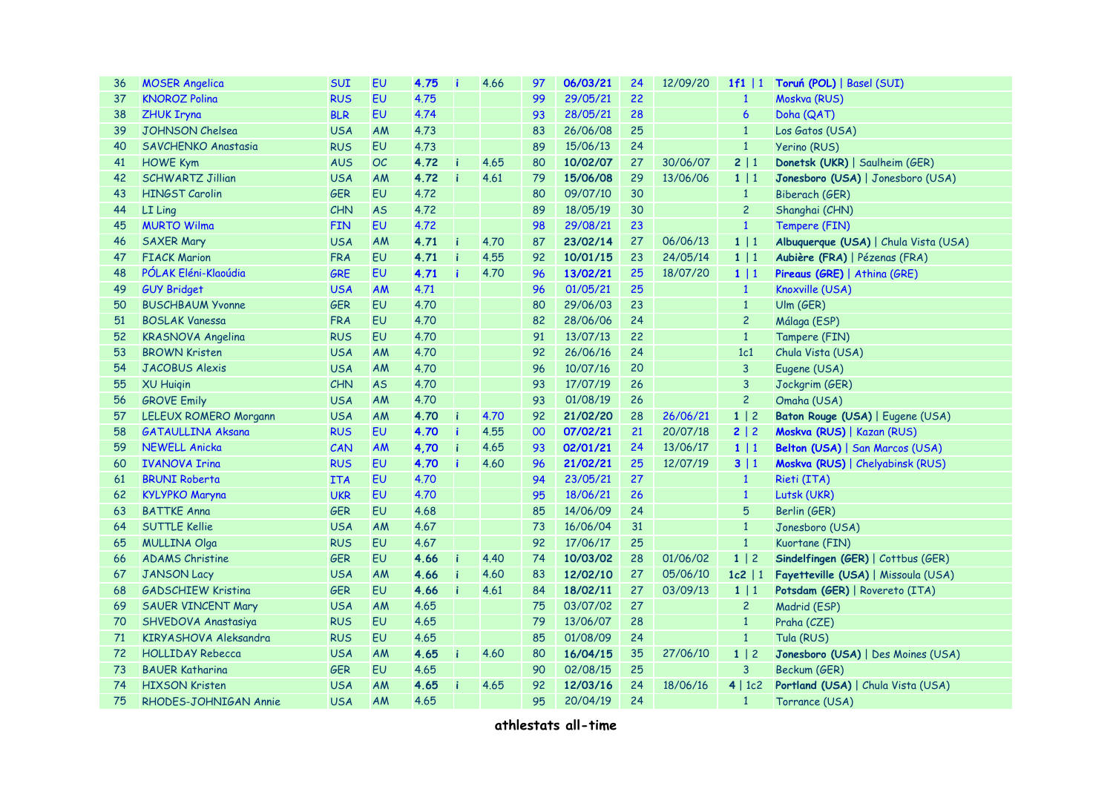| 36 | <b>MOSER Angelica</b>     | <b>SUI</b> | EU        | 4.75 |   | 4.66 | 97 | 06/03/21 | 24 | 12/09/20 | $1f1 \mid 1$    | Toruń (POL)   Basel (SUI)             |  |
|----|---------------------------|------------|-----------|------|---|------|----|----------|----|----------|-----------------|---------------------------------------|--|
| 37 | <b>KNOROZ Polina</b>      | <b>RUS</b> | EU        | 4.75 |   |      | 99 | 29/05/21 | 22 |          | $\mathbf{1}$    | Moskva (RUS)                          |  |
| 38 | <b>ZHUK Iryna</b>         | <b>BLR</b> | <b>EU</b> | 4.74 |   |      | 93 | 28/05/21 | 28 |          | $6\phantom{1}6$ | Doha (QAT)                            |  |
| 39 | <b>JOHNSON Chelsea</b>    | <b>USA</b> | <b>AM</b> | 4.73 |   |      | 83 | 26/06/08 | 25 |          | $\mathbf{1}$    | Los Gatos (USA)                       |  |
| 40 | SAVCHENKO Anastasia       | <b>RUS</b> | EU        | 4.73 |   |      | 89 | 15/06/13 | 24 |          | $\mathbf{1}$    | Yerino (RUS)                          |  |
| 41 | <b>HOWE Kym</b>           | <b>AUS</b> | <b>OC</b> | 4.72 | ă | 4.65 | 80 | 10/02/07 | 27 | 30/06/07 | 2 1             | Donetsk (UKR)   Saulheim (GER)        |  |
| 42 | <b>SCHWARTZ Jillian</b>   | <b>USA</b> | AM        | 4.72 |   | 4.61 | 79 | 15/06/08 | 29 | 13/06/06 | $1 \mid 1$      | Jonesboro (USA)   Jonesboro (USA)     |  |
| 43 | <b>HINGST Carolin</b>     | <b>GER</b> | EU        | 4.72 |   |      | 80 | 09/07/10 | 30 |          | $\mathbf{1}$    | Biberach (GER)                        |  |
| 44 | LI Ling                   | CHN        | <b>AS</b> | 4.72 |   |      | 89 | 18/05/19 | 30 |          | $\overline{2}$  | Shanghai (CHN)                        |  |
| 45 | <b>MURTO Wilma</b>        | <b>FIN</b> | EU        | 4.72 |   |      | 98 | 29/08/21 | 23 |          | $\mathbf{1}$    | Tempere (FIN)                         |  |
| 46 | <b>SAXER Mary</b>         | <b>USA</b> | <b>AM</b> | 4.71 | h | 4.70 | 87 | 23/02/14 | 27 | 06/06/13 | 1   1           | Albuquerque (USA)   Chula Vista (USA) |  |
| 47 | <b>FIACK Marion</b>       | <b>FRA</b> | EU        | 4.71 |   | 4.55 | 92 | 10/01/15 | 23 | 24/05/14 | 1 1             | Aubière (FRA)   Pézenas (FRA)         |  |
| 48 | PÓLAK Eléni-Klaoúdia      | GRE        | <b>EU</b> | 4.71 |   | 4.70 | 96 | 13/02/21 | 25 | 18/07/20 | $1 \mid 1$      | Pireaus (GRE)   Athina (GRE)          |  |
| 49 | <b>GUY Bridget</b>        | <b>USA</b> | AM        | 4.71 |   |      | 96 | 01/05/21 | 25 |          | $\mathbf{1}$    | Knoxville (USA)                       |  |
| 50 | <b>BUSCHBAUM Yvonne</b>   | <b>GER</b> | <b>EU</b> | 4.70 |   |      | 80 | 29/06/03 | 23 |          | $\mathbf{1}$    | Ulm(GER)                              |  |
| 51 | <b>BOSLAK Vanessa</b>     | <b>FRA</b> | <b>EU</b> | 4.70 |   |      | 82 | 28/06/06 | 24 |          | $\overline{c}$  | Málaga (ESP)                          |  |
| 52 | <b>KRASNOVA Angelina</b>  | <b>RUS</b> | EU        | 4.70 |   |      | 91 | 13/07/13 | 22 |          | $\mathbf{1}$    | Tampere (FIN)                         |  |
| 53 | <b>BROWN Kristen</b>      | <b>USA</b> | <b>AM</b> | 4.70 |   |      | 92 | 26/06/16 | 24 |          | 1c1             | Chula Vista (USA)                     |  |
| 54 | <b>JACOBUS Alexis</b>     | <b>USA</b> | <b>AM</b> | 4.70 |   |      | 96 | 10/07/16 | 20 |          | $\mathbf{3}$    | Eugene (USA)                          |  |
| 55 | <b>XU Huigin</b>          | <b>CHN</b> | <b>AS</b> | 4.70 |   |      | 93 | 17/07/19 | 26 |          | $\mathbf{3}$    | Jockgrim (GER)                        |  |
| 56 | <b>GROVE Emily</b>        | <b>USA</b> | <b>AM</b> | 4.70 |   |      | 93 | 01/08/19 | 26 |          | $\overline{c}$  | Omaha (USA)                           |  |
| 57 | LELEUX ROMERO Morgann     | <b>USA</b> | <b>AM</b> | 4.70 |   | 4.70 | 92 | 21/02/20 | 28 | 26/06/21 | $1 \mid 2$      | Baton Rouge (USA)   Eugene (USA)      |  |
| 58 | <b>GATAULLINA Aksana</b>  | <b>RUS</b> | EU        | 4.70 | h | 4.55 | 00 | 07/02/21 | 21 | 20/07/18 | 2 2             | Moskva (RUS)   Kazan (RUS)            |  |
| 59 | <b>NEWELL Anicka</b>      | CAN        | AM        | 4,70 | h | 4.65 | 93 | 02/01/21 | 24 | 13/06/17 | $1 \mid 1$      | Belton (USA)   San Marcos (USA)       |  |
| 60 | <b>IVANOVA Irina</b>      | <b>RUS</b> | EU        | 4.70 |   | 4.60 | 96 | 21/02/21 | 25 | 12/07/19 | 3 1             | Moskva (RUS)   Chelyabinsk (RUS)      |  |
| 61 | <b>BRUNI Roberta</b>      | <b>ITA</b> | EU        | 4.70 |   |      | 94 | 23/05/21 | 27 |          | $\mathbf{1}$    | Rieti (ITA)                           |  |
| 62 | <b>KYLYPKO Maryna</b>     | <b>UKR</b> | EU        | 4.70 |   |      | 95 | 18/06/21 | 26 |          | $\mathbf{1}$    | Lutsk (UKR)                           |  |
| 63 | <b>BATTKE Anna</b>        | <b>GER</b> | <b>EU</b> | 4.68 |   |      | 85 | 14/06/09 | 24 |          | $5\phantom{.0}$ | Berlin (GER)                          |  |
| 64 | <b>SUTTLE Kellie</b>      | <b>USA</b> | <b>AM</b> | 4.67 |   |      | 73 | 16/06/04 | 31 |          | $\mathbf{1}$    | Jonesboro (USA)                       |  |
| 65 | <b>MULLINA Olga</b>       | <b>RUS</b> | <b>EU</b> | 4.67 |   |      | 92 | 17/06/17 | 25 |          | $\mathbf{1}$    | Kuortane (FIN)                        |  |
| 66 | <b>ADAMS Christine</b>    | <b>GER</b> | EU        | 4.66 |   | 4.40 | 74 | 10/03/02 | 28 | 01/06/02 | $1 \mid 2$      | Sindelfingen (GER)   Cottbus (GER)    |  |
| 67 | <b>JANSON Lacy</b>        | <b>USA</b> | <b>AM</b> | 4.66 | h | 4.60 | 83 | 12/02/10 | 27 | 05/06/10 | $1c2$   1       | Fayetteville (USA)   Missoula (USA)   |  |
| 68 | <b>GADSCHIEW Kristina</b> | <b>GER</b> | EU        | 4.66 |   | 4.61 | 84 | 18/02/11 | 27 | 03/09/13 | $1 \mid 1$      | Potsdam (GER)   Rovereto (ITA)        |  |
| 69 | <b>SAUER VINCENT Mary</b> | <b>USA</b> | <b>AM</b> | 4.65 |   |      | 75 | 03/07/02 | 27 |          | $\overline{c}$  | Madrid (ESP)                          |  |
| 70 | SHVEDOVA Anastasiya       | <b>RUS</b> | EU        | 4.65 |   |      | 79 | 13/06/07 | 28 |          | $\mathbf{1}$    | Praha (CZE)                           |  |
| 71 | KIRYASHOVA Aleksandra     | <b>RUS</b> | <b>EU</b> | 4.65 |   |      | 85 | 01/08/09 | 24 |          | $\mathbf{1}$    | Tula (RUS)                            |  |
| 72 | <b>HOLLIDAY Rebecca</b>   | <b>USA</b> | AM        | 4.65 |   | 4.60 | 80 | 16/04/15 | 35 | 27/06/10 | $1 \mid 2$      | Jonesboro (USA)   Des Moines (USA)    |  |
| 73 | <b>BAUER Katharina</b>    | <b>GER</b> | EU        | 4.65 |   |      | 90 | 02/08/15 | 25 |          | $\mathbf{3}$    | Beckum (GER)                          |  |
| 74 | <b>HIXSON Kristen</b>     | <b>USA</b> | AM        | 4.65 |   | 4.65 | 92 | 12/03/16 | 24 | 18/06/16 | 4   1c2         | Portland (USA)   Chula Vista (USA)    |  |
| 75 | RHODES-JOHNIGAN Annie     | <b>USA</b> | <b>AM</b> | 4.65 |   |      | 95 | 20/04/19 | 24 |          | $\mathbf{1}$    | Torrance (USA)                        |  |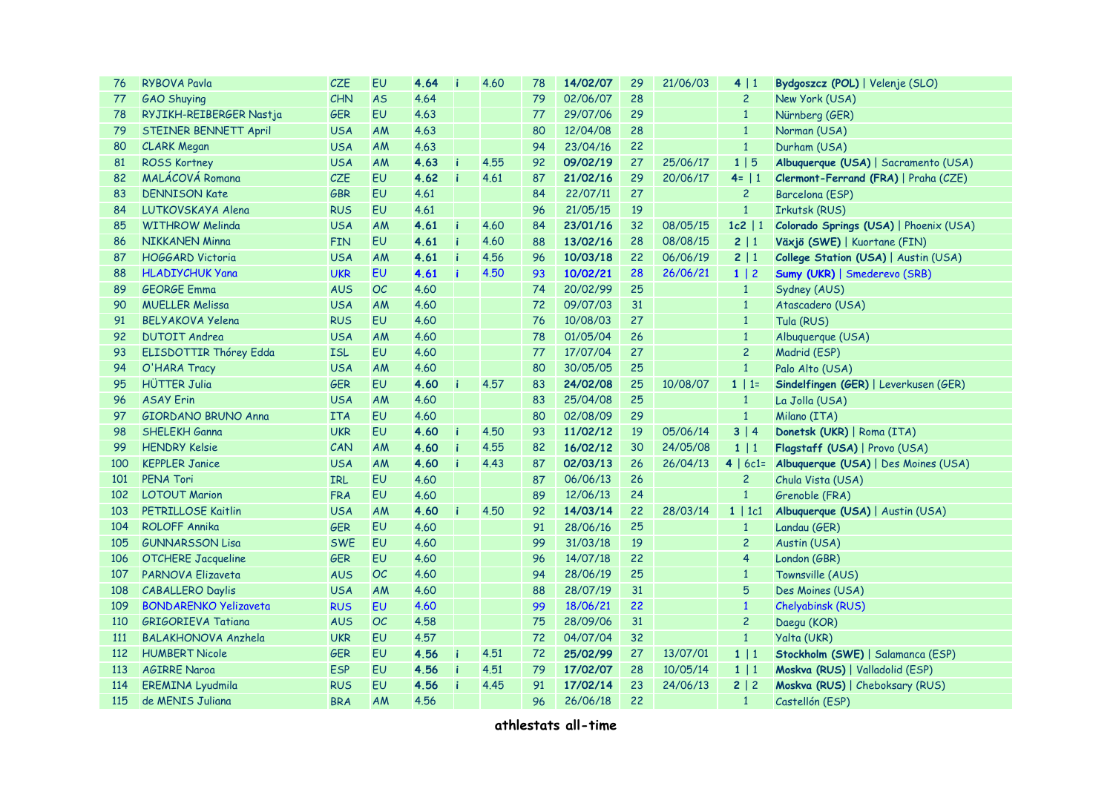| 76         | <b>RYBOVA Pavla</b>          | <b>CZE</b> | EU        | 4.64 |     | 4.60 | 78 | 14/02/07 | 29 | 21/06/03 | 4 1            | Bydgoszcz (POL)   Velenje (SLO)        |  |  |
|------------|------------------------------|------------|-----------|------|-----|------|----|----------|----|----------|----------------|----------------------------------------|--|--|
| 77         | <b>GAO Shuying</b>           | CHN        | <b>AS</b> | 4.64 |     |      | 79 | 02/06/07 | 28 |          | $\overline{2}$ | New York (USA)                         |  |  |
| 78         | RYJIKH-REIBERGER Nastja      | <b>GER</b> | <b>EU</b> | 4.63 |     |      | 77 | 29/07/06 | 29 |          | $\mathbf{1}$   | Nürnberg (GER)                         |  |  |
| 79         | STEINER BENNETT April        | <b>USA</b> | AM        | 4.63 |     |      | 80 | 12/04/08 | 28 |          | $\mathbf{1}$   | Norman (USA)                           |  |  |
| 80         | <b>CLARK Megan</b>           | <b>USA</b> | AM        | 4.63 |     |      | 94 | 23/04/16 | 22 |          | $1\,$          | Durham (USA)                           |  |  |
| 81         | <b>ROSS Kortney</b>          | <b>USA</b> | AM        | 4.63 |     | 4.55 | 92 | 09/02/19 | 27 | 25/06/17 | 1 5            | Albuquerque (USA)   Sacramento (USA)   |  |  |
| 82         | MALÁCOVÁ Romana              | CZE        | EU        | 4.62 |     | 4.61 | 87 | 21/02/16 | 29 | 20/06/17 | $4 =   1$      | Clermont-Ferrand (FRA)   Praha (CZE)   |  |  |
| 83         | <b>DENNISON Kate</b>         | GBR        | EU        | 4.61 |     |      | 84 | 22/07/11 | 27 |          | $\overline{c}$ | Barcelona (ESP)                        |  |  |
| 84         | LUTKOVSKAYA Alena            | <b>RUS</b> | <b>EU</b> | 4.61 |     |      | 96 | 21/05/15 | 19 |          | $\mathbf 1$    | Irkutsk (RUS)                          |  |  |
| 85         | <b>WITHROW Melinda</b>       | <b>USA</b> | AM        | 4.61 | h   | 4.60 | 84 | 23/01/16 | 32 | 08/05/15 | $1c2$   1      | Colorado Springs (USA)   Phoenix (USA) |  |  |
| 86         | <b>NIKKANEN Minna</b>        | <b>FIN</b> | EU        | 4.61 |     | 4.60 | 88 | 13/02/16 | 28 | 08/08/15 | 2 1            | Växjö (SWE)   Kuortane (FIN)           |  |  |
| 87         | <b>HOGGARD Victoria</b>      | <b>USA</b> | <b>AM</b> | 4.61 |     | 4.56 | 96 | 10/03/18 | 22 | 06/06/19 | 2 1            | College Station (USA)   Austin (USA)   |  |  |
| 88         | <b>HLADIYCHUK Yana</b>       | <b>UKR</b> | <b>EU</b> | 4.61 |     | 4.50 | 93 | 10/02/21 | 28 | 26/06/21 | $1 \mid 2$     | Sumy (UKR)   Smederevo (SRB)           |  |  |
| 89         | <b>GEORGE Emma</b>           | <b>AUS</b> | OC        | 4.60 |     |      | 74 | 20/02/99 | 25 |          | $\mathbf{1}$   | Sydney (AUS)                           |  |  |
| 90         | <b>MUELLER Melissa</b>       | <b>USA</b> | AM        | 4.60 |     |      | 72 | 09/07/03 | 31 |          | $\mathbf{1}$   | Atascadero (USA)                       |  |  |
| 91         | <b>BELYAKOVA Yelena</b>      | <b>RUS</b> | <b>EU</b> | 4.60 |     |      | 76 | 10/08/03 | 27 |          | $\mathbf{1}$   | Tula (RUS)                             |  |  |
| 92         | <b>DUTOIT Andrea</b>         | <b>USA</b> | AM        | 4.60 |     |      | 78 | 01/05/04 | 26 |          | $\mathbf{1}$   | Albuquerque (USA)                      |  |  |
| 93         | ELISDOTTIR Thórey Edda       | <b>ISL</b> | EU        | 4.60 |     |      | 77 | 17/07/04 | 27 |          | $\overline{c}$ | Madrid (ESP)                           |  |  |
| 94         | O'HARA Tracy                 | <b>USA</b> | AM        | 4.60 |     |      | 80 | 30/05/05 | 25 |          | $\mathbf 1$    | Palo Alto (USA)                        |  |  |
| 95         | <b>HÜTTER Julia</b>          | <b>GER</b> | EU        | 4.60 |     | 4.57 | 83 | 24/02/08 | 25 | 10/08/07 | $1   1=$       | Sindelfingen (GER)   Leverkusen (GER)  |  |  |
| 96         | <b>ASAY Erin</b>             | <b>USA</b> | AM        | 4.60 |     |      | 83 | 25/04/08 | 25 |          | $\mathbf{1}$   | La Jolla (USA)                         |  |  |
| 97         | <b>GIORDANO BRUNO Anna</b>   | <b>ITA</b> | EU        | 4.60 |     |      | 80 | 02/08/09 | 29 |          | $\mathbf{1}$   | Milano (ITA)                           |  |  |
| 98         | <b>SHELEKH Ganna</b>         | <b>UKR</b> | EU        | 4.60 |     | 4.50 | 93 | 11/02/12 | 19 | 05/06/14 | 3 4            | Donetsk (UKR)   Roma (ITA)             |  |  |
| 99         | <b>HENDRY Kelsie</b>         | CAN        | AM        | 4.60 |     | 4.55 | 82 | 16/02/12 | 30 | 24/05/08 | 1 1            | Flagstaff (USA)   Provo (USA)          |  |  |
| 100        | <b>KEPPLER Janice</b>        | <b>USA</b> | AM        | 4.60 |     | 4.43 | 87 | 02/03/13 | 26 | 26/04/13 | $4   6c1 =$    | Albuquerque (USA)   Des Moines (USA)   |  |  |
| 101        | <b>PENA Tori</b>             | <b>IRL</b> | EU        | 4.60 |     |      | 87 | 06/06/13 | 26 |          | $\overline{2}$ | Chula Vista (USA)                      |  |  |
| 102        | <b>LOTOUT Marion</b>         | <b>FRA</b> | EU        | 4.60 |     |      | 89 | 12/06/13 | 24 |          | $\mathbf{1}$   | Grenoble (FRA)                         |  |  |
| 103        | <b>PETRILLOSE Kaitlin</b>    | <b>USA</b> | AM        | 4.60 |     | 4.50 | 92 | 14/03/14 | 22 | 28/03/14 | $1 \mid 1c1$   | Albuquerque (USA)   Austin (USA)       |  |  |
| 104        | <b>ROLOFF Annika</b>         | <b>GER</b> | <b>EU</b> | 4.60 |     |      | 91 | 28/06/16 | 25 |          | $\mathbf{1}$   | Landau (GER)                           |  |  |
| 105        | <b>GUNNARSSON Lisa</b>       | <b>SWE</b> | EU        | 4.60 |     |      | 99 | 31/03/18 | 19 |          | $\overline{c}$ | Austin (USA)                           |  |  |
| 106        | <b>OTCHERE Jacqueline</b>    | <b>GER</b> | EU        | 4.60 |     |      | 96 | 14/07/18 | 22 |          | $\overline{4}$ | London (GBR)                           |  |  |
| 107        | <b>PARNOVA Elizaveta</b>     | <b>AUS</b> | <b>OC</b> | 4.60 |     |      | 94 | 28/06/19 | 25 |          | $\mathbf{1}$   | Townsville (AUS)                       |  |  |
| 108        | <b>CABALLERO Daylis</b>      | <b>USA</b> | AM        | 4.60 |     |      | 88 | 28/07/19 | 31 |          | 5              | Des Moines (USA)                       |  |  |
| 109        | <b>BONDARENKO Yelizaveta</b> | <b>RUS</b> | <b>EU</b> | 4.60 |     |      | 99 | 18/06/21 | 22 |          | $\mathbf{1}$   | Chelyabinsk (RUS)                      |  |  |
| 110        | <b>GRIGORIEVA Tatiana</b>    | <b>AUS</b> | <b>OC</b> | 4.58 |     |      | 75 | 28/09/06 | 31 |          | $\overline{c}$ | Daegu (KOR)                            |  |  |
| <b>111</b> | <b>BALAKHONOVA Anzhela</b>   | <b>UKR</b> | EU        | 4.57 |     |      | 72 | 04/07/04 | 32 |          | $1\,$          | Yalta (UKR)                            |  |  |
| 112        | <b>HUMBERT Nicole</b>        | <b>GER</b> | EU        | 4.56 |     | 4.51 | 72 | 25/02/99 | 27 | 13/07/01 | 1   1          | Stockholm (SWE)   Salamanca (ESP)      |  |  |
| 113        | <b>AGIRRE Naroa</b>          | <b>ESP</b> | EU        | 4.56 | li. | 4.51 | 79 | 17/02/07 | 28 | 10/05/14 | 1 1            | Moskva (RUS)   Valladolid (ESP)        |  |  |
| 114        | <b>EREMINA Lyudmila</b>      | <b>RUS</b> | EU        | 4.56 |     | 4.45 | 91 | 17/02/14 | 23 | 24/06/13 | 2 2            | Moskva (RUS)   Cheboksary (RUS)        |  |  |
| 115        | de MENIS Juliana             | <b>BRA</b> | AM        | 4.56 |     |      | 96 | 26/06/18 | 22 |          | $\mathbf{1}$   | Castellón (ESP)                        |  |  |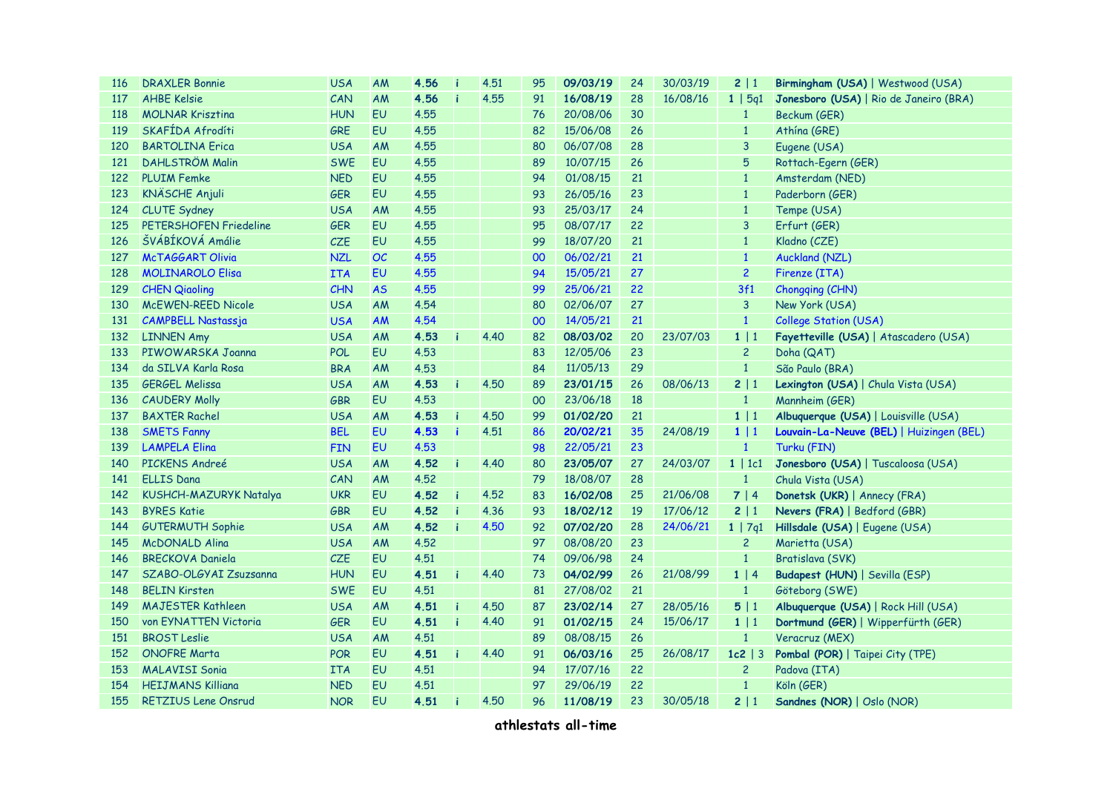| <b>116</b> | <b>DRAXLER Bonnie</b>      | <b>USA</b> | AM        | 4.56 | i | 4.51 | 95              | 09/03/19 | 24 | 30/03/19 | 2 1            | Birmingham (USA)   Westwood (USA)        |
|------------|----------------------------|------------|-----------|------|---|------|-----------------|----------|----|----------|----------------|------------------------------------------|
| 117        | <b>AHBE Kelsie</b>         | CAN        | AM        | 4.56 |   | 4.55 | 91              | 16/08/19 | 28 | 16/08/16 | 1   5q1        | Jonesboro (USA)   Rio de Janeiro (BRA)   |
| 118        | <b>MOLNAR Kriszting</b>    | <b>HUN</b> | EU        | 4.55 |   |      | 76              | 20/08/06 | 30 |          | $\mathbf{1}$   | Beckum (GER)                             |
| 119        | SKAFÍDA Afrodíti           | <b>GRE</b> | <b>EU</b> | 4.55 |   |      | 82              | 15/06/08 | 26 |          | $\mathbf{1}$   | Athína (GRE)                             |
| 120        | <b>BARTOLINA Erica</b>     | <b>USA</b> | AM        | 4.55 |   |      | 80              | 06/07/08 | 28 |          | 3              | Eugene (USA)                             |
| 121        | <b>DAHLSTRÖM Malin</b>     | <b>SWE</b> | <b>EU</b> | 4.55 |   |      | 89              | 10/07/15 | 26 |          | $\overline{5}$ | Rottach-Egern (GER)                      |
| 122        | <b>PLUIM Femke</b>         | <b>NED</b> | EU        | 4.55 |   |      | 94              | 01/08/15 | 21 |          | $1\,$          | Amsterdam (NED)                          |
| 123        | <b>KNÄSCHE Anjuli</b>      | GER        | EU        | 4.55 |   |      | 93              | 26/05/16 | 23 |          | $\mathbf{1}$   | Paderborn (GER)                          |
| 124        | <b>CLUTE Sydney</b>        | <b>USA</b> | AM        | 4.55 |   |      | 93              | 25/03/17 | 24 |          | $1\,$          | Tempe (USA)                              |
| 125        | PETERSHOFEN Friedeline     | GER        | EU        | 4.55 |   |      | 95              | 08/07/17 | 22 |          | $\overline{3}$ | Erfurt (GER)                             |
| 126        | ŠVÁBÍKOVÁ Amálie           | CZE        | EU        | 4.55 |   |      | 99              | 18/07/20 | 21 |          | $\mathbf{1}$   | Kladno (CZE)                             |
| 127        | <b>McTAGGART Olivia</b>    | <b>NZL</b> | OC        | 4.55 |   |      | 00              | 06/02/21 | 21 |          | $\mathbf{1}$   | Auckland (NZL)                           |
| 128        | <b>MOLINAROLO Elisa</b>    | <b>ITA</b> | <b>EU</b> | 4.55 |   |      | 94              | 15/05/21 | 27 |          | $\overline{2}$ | Firenze (ITA)                            |
| 129        | <b>CHEN Qiaoling</b>       | CHN        | <b>AS</b> | 4.55 |   |      | 99              | 25/06/21 | 22 |          | 3f1            | Chongqing (CHN)                          |
| 130        | <b>MCEWEN-REED Nicole</b>  | <b>USA</b> | AM        | 4.54 |   |      | 80              | 02/06/07 | 27 |          | $\overline{3}$ | New York (USA)                           |
| 131        | <b>CAMPBELL Nastassja</b>  | <b>USA</b> | <b>AM</b> | 4.54 |   |      | 00 <sub>o</sub> | 14/05/21 | 21 |          | $\mathbf{1}$   | <b>College Station (USA)</b>             |
| 132        | <b>LINNEN Amy</b>          | <b>USA</b> | AM        | 4.53 |   | 4.40 | 82              | 08/03/02 | 20 | 23/07/03 | 1 1            | Fayetteville (USA)   Atascadero (USA)    |
| 133        | PIWOWARSKA Joanna          | <b>POL</b> | EU        | 4.53 |   |      | 83              | 12/05/06 | 23 |          | $\overline{c}$ | Doha (QAT)                               |
| 134        | da SILVA Karla Rosa        | <b>BRA</b> | AM        | 4.53 |   |      | 84              | 11/05/13 | 29 |          | $\mathbf{1}$   | São Paulo (BRA)                          |
| 135        | <b>GERGEL Melissa</b>      | <b>USA</b> | AM        | 4.53 |   | 4.50 | 89              | 23/01/15 | 26 | 08/06/13 | 2 1            | Lexington (USA)   Chula Vista (USA)      |
| 136        | <b>CAUDERY Molly</b>       | <b>GBR</b> | EU        | 4.53 |   |      | 00              | 23/06/18 | 18 |          | $\mathbf{1}$   | Mannheim (GER)                           |
| 137        | <b>BAXTER Rachel</b>       | <b>USA</b> | AM        | 4.53 |   | 4.50 | 99              | 01/02/20 | 21 |          | 1 1            | Albuquerque (USA)   Louisville (USA)     |
| 138        | <b>SMETS Fanny</b>         | <b>BEL</b> | <b>EU</b> | 4.53 |   | 4.51 | 86              | 20/02/21 | 35 | 24/08/19 | 1 1            | Louvain-La-Neuve (BEL)   Huizingen (BEL) |
| 139        | <b>LAMPELA Elina</b>       | <b>FIN</b> | EU        | 4.53 |   |      | 98              | 22/05/21 | 23 |          | $\mathbf{1}$   | Turku (FIN)                              |
| 140        | PICKENS Andreé             | <b>USA</b> | AM        | 4.52 | h | 4.40 | 80              | 23/05/07 | 27 | 24/03/07 | 1   1c1        | Jonesboro (USA)   Tuscaloosa (USA)       |
| 141        | <b>ELLIS Dana</b>          | CAN        | AM        | 4.52 |   |      | 79              | 18/08/07 | 28 |          | $\mathbf{1}$   | Chula Vista (USA)                        |
| 142        | KUSHCH-MAZURYK Natalya     | <b>UKR</b> | <b>EU</b> | 4.52 |   | 4.52 | 83              | 16/02/08 | 25 | 21/06/08 | 7 4            | Donetsk (UKR)   Annecy (FRA)             |
| 143        | <b>BYRES Katie</b>         | <b>GBR</b> | <b>EU</b> | 4.52 | h | 4.36 | 93              | 18/02/12 | 19 | 17/06/12 | 2 1            | Nevers (FRA)   Bedford (GBR)             |
| 144        | <b>GUTERMUTH Sophie</b>    | <b>USA</b> | AM        | 4.52 | i | 4.50 | 92              | 07/02/20 | 28 | 24/06/21 | 1   7q1        | Hillsdale (USA)   Eugene (USA)           |
| 145        | <b>McDONALD Alina</b>      | <b>USA</b> | AM        | 4.52 |   |      | 97              | 08/08/20 | 23 |          | $\overline{c}$ | Marietta (USA)                           |
| 146        | <b>BRECKOVA Daniela</b>    | CZE        | EU        | 4.51 |   |      | 74              | 09/06/98 | 24 |          | $\mathbf{1}$   | Bratislava (SVK)                         |
| 147        | SZABO-OLGYAI Zsuzsanna     | <b>HUN</b> | <b>EU</b> | 4.51 | i | 4.40 | 73              | 04/02/99 | 26 | 21/08/99 | 1   4          | Budapest (HUN)   Sevilla (ESP)           |
| 148        | <b>BELIN Kirsten</b>       | <b>SWE</b> | EU        | 4.51 |   |      | 81              | 27/08/02 | 21 |          | $\mathbf{1}$   | Göteborg (SWE)                           |
| 149        | <b>MAJESTER Kathleen</b>   | <b>USA</b> | AM        | 4.51 |   | 4.50 | 87              | 23/02/14 | 27 | 28/05/16 | 5 1            | Albuquerque (USA)   Rock Hill (USA)      |
| 150        | von EYNATTEN Victoria      | <b>GER</b> | EU        | 4.51 |   | 4.40 | 91              | 01/02/15 | 24 | 15/06/17 | 1   1          | Dortmund (GER)   Wipperfürth (GER)       |
| 151        | <b>BROST Leslie</b>        | <b>USA</b> | AM        | 4.51 |   |      | 89              | 08/08/15 | 26 |          | $\mathbf{1}$   | Veracruz (MEX)                           |
| 152        | <b>ONOFRE Marta</b>        | <b>POR</b> | EU        | 4.51 |   | 4.40 | 91              | 06/03/16 | 25 | 26/08/17 | $1c2 \mid 3$   | Pombal (POR)   Taipei City (TPE)         |
| 153        | <b>MALAVISI Sonia</b>      | <b>ITA</b> | EU        | 4.51 |   |      | 94              | 17/07/16 | 22 |          | $\overline{c}$ | Padova (ITA)                             |
| 154        | <b>HEIJMANS Killiana</b>   | <b>NED</b> | EU        | 4.51 |   |      | 97              | 29/06/19 | 22 |          | $\mathbf{1}$   | Köln (GER)                               |
| 155        | <b>RETZIUS Lene Onsrud</b> | <b>NOR</b> | EU        | 4.51 | i | 4.50 | 96              | 11/08/19 | 23 | 30/05/18 | 2 1            | Sandnes (NOR)   Oslo (NOR)               |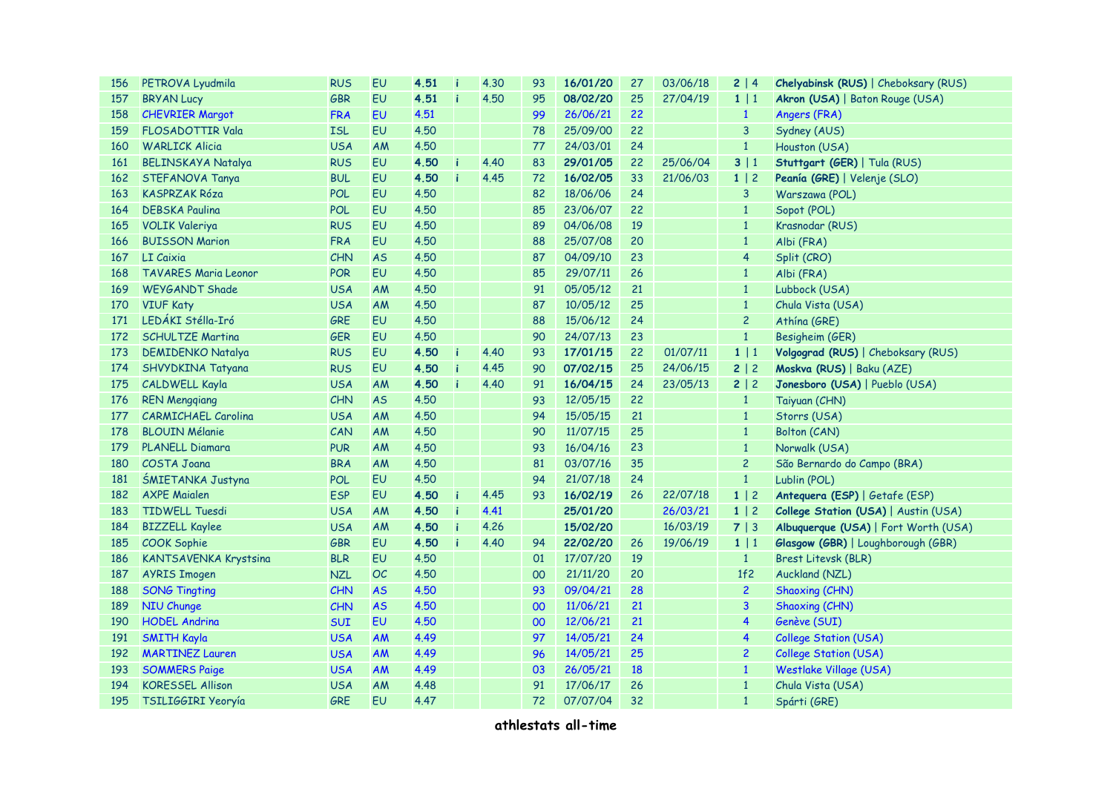| 156 | PETROVA Lyudmila             | <b>RUS</b> | EU        | 4.51 | 4.30 | 93 | 16/01/20 | 27 | 03/06/18 | 2   4          | <b>Chelyabinsk (RUS)</b>   Cheboksary (RUS) |
|-----|------------------------------|------------|-----------|------|------|----|----------|----|----------|----------------|---------------------------------------------|
| 157 | <b>BRYAN Lucy</b>            | <b>GBR</b> | EU        | 4.51 | 4.50 | 95 | 08/02/20 | 25 | 27/04/19 | $1 \mid 1$     | Akron (USA)   Baton Rouge (USA)             |
| 158 | <b>CHEVRIER Margot</b>       | <b>FRA</b> | EU        | 4.51 |      | 99 | 26/06/21 | 22 |          | $\mathbf{1}$   | Angers (FRA)                                |
| 159 | <b>FLOSADOTTIR Vala</b>      | <b>ISL</b> | EU        | 4.50 |      | 78 | 25/09/00 | 22 |          | 3              | Sydney (AUS)                                |
| 160 | <b>WARLICK Alicia</b>        | <b>USA</b> | AM        | 4.50 |      | 77 | 24/03/01 | 24 |          | $\mathbf{1}$   | Houston (USA)                               |
| 161 | <b>BELINSKAYA Natalya</b>    | <b>RUS</b> | EU        | 4.50 | 4.40 | 83 | 29/01/05 | 22 | 25/06/04 | 3 1            | Stuttgart (GER)   Tula (RUS)                |
| 162 | STEFANOVA Tanya              | <b>BUL</b> | <b>EU</b> | 4.50 | 4.45 | 72 | 16/02/05 | 33 | 21/06/03 | $1 \mid 2$     | Peanía (GRE)   Velenje (SLO)                |
| 163 | <b>KASPRZAK Róza</b>         | <b>POL</b> | EU        | 4.50 |      | 82 | 18/06/06 | 24 |          | $\mathbf{3}$   | Warszawa (POL)                              |
| 164 | <b>DEBSKA Paulina</b>        | <b>POL</b> | <b>EU</b> | 4.50 |      | 85 | 23/06/07 | 22 |          | $\mathbf{1}$   | Sopot (POL)                                 |
| 165 | <b>VOLIK Valeriya</b>        | <b>RUS</b> | EU        | 4.50 |      | 89 | 04/06/08 | 19 |          | $\mathbf{1}$   | Krasnodar (RUS)                             |
| 166 | <b>BUISSON Marion</b>        | <b>FRA</b> | EU        | 4.50 |      | 88 | 25/07/08 | 20 |          | $\mathbf{1}$   | Albi (FRA)                                  |
| 167 | LI Caixia                    | <b>CHN</b> | <b>AS</b> | 4.50 |      | 87 | 04/09/10 | 23 |          | $\overline{4}$ | Split (CRO)                                 |
| 168 | <b>TAVARES Maria Leonor</b>  | <b>POR</b> | <b>EU</b> | 4.50 |      | 85 | 29/07/11 | 26 |          | $\mathbf{1}$   | Albi (FRA)                                  |
| 169 | <b>WEYGANDT Shade</b>        | <b>USA</b> | AM        | 4.50 |      | 91 | 05/05/12 | 21 |          | $\mathbf{1}$   | Lubbock (USA)                               |
| 170 | <b>VIUF Katy</b>             | <b>USA</b> | AM        | 4.50 |      | 87 | 10/05/12 | 25 |          | $\mathbf{1}$   | Chula Vista (USA)                           |
| 171 | LEDÁKI Stélla-Iró            | <b>GRE</b> | <b>EU</b> | 4.50 |      | 88 | 15/06/12 | 24 |          | $\overline{c}$ | Athína (GRE)                                |
| 172 | <b>SCHULTZE Martina</b>      | <b>GER</b> | EU        | 4.50 |      | 90 | 24/07/13 | 23 |          | $1\,$          | Besigheim (GER)                             |
| 173 | <b>DEMIDENKO Natalya</b>     | <b>RUS</b> | EU        | 4.50 | 4.40 | 93 | 17/01/15 | 22 | 01/07/11 | 1 1            | Volgograd (RUS)   Cheboksary (RUS)          |
| 174 | SHVYDKINA Tatyana            | <b>RUS</b> | <b>EU</b> | 4.50 | 4.45 | 90 | 07/02/15 | 25 | 24/06/15 | 2 2            | Moskva (RUS)   Baku (AZE)                   |
| 175 | <b>CALDWELL Kayla</b>        | <b>USA</b> | <b>AM</b> | 4.50 | 4.40 | 91 | 16/04/15 | 24 | 23/05/13 | 2 2            | Jonesboro (USA)   Pueblo (USA)              |
| 176 | <b>REN Mengqiang</b>         | <b>CHN</b> | <b>AS</b> | 4.50 |      | 93 | 12/05/15 | 22 |          | $\mathbf{1}$   | Taiyuan (CHN)                               |
| 177 | <b>CARMICHAEL Carolina</b>   | <b>USA</b> | <b>AM</b> | 4.50 |      | 94 | 15/05/15 | 21 |          | $\mathbf{1}$   | Storrs (USA)                                |
| 178 | <b>BLOUIN Mélanie</b>        | CAN        | AM        | 4.50 |      | 90 | 11/07/15 | 25 |          | $\mathbf{1}$   | Bolton (CAN)                                |
| 179 | PLANELL Diamara              | <b>PUR</b> | AM        | 4.50 |      | 93 | 16/04/16 | 23 |          | $\mathbf{1}$   | Norwalk (USA)                               |
| 180 | <b>COSTA Joana</b>           | <b>BRA</b> | AM        | 4.50 |      | 81 | 03/07/16 | 35 |          | $\overline{c}$ | São Bernardo do Campo (BRA)                 |
| 181 | ŚMIETANKA Justyna            | <b>POL</b> | EU        | 4.50 |      | 94 | 21/07/18 | 24 |          | $\mathbf{1}$   | Lublin (POL)                                |
| 182 | <b>AXPE Maialen</b>          | <b>ESP</b> | EU        | 4.50 | 4.45 | 93 | 16/02/19 | 26 | 22/07/18 | $1 \mid 2$     | Antequera (ESP)   Getafe (ESP)              |
| 183 | <b>TIDWELL Tuesdi</b>        | <b>USA</b> | <b>AM</b> | 4.50 | 4.41 |    | 25/01/20 |    | 26/03/21 | 1 2            | College Station (USA)   Austin (USA)        |
| 184 | <b>BIZZELL Kaylee</b>        | <b>USA</b> | <b>AM</b> | 4.50 | 4.26 |    | 15/02/20 |    | 16/03/19 | 7 3            | Albuquerque (USA)   Fort Worth (USA)        |
| 185 | <b>COOK Sophie</b>           | <b>GBR</b> | EU        | 4.50 | 4.40 | 94 | 22/02/20 | 26 | 19/06/19 | $1 \mid 1$     | Glasgow (GBR)   Loughborough (GBR)          |
| 186 | <b>KANTSAVENKA Krystsina</b> | <b>BLR</b> | <b>EU</b> | 4.50 |      | 01 | 17/07/20 | 19 |          | $\mathbf{1}$   | Brest Litevsk (BLR)                         |
| 187 | <b>AYRIS Imogen</b>          | <b>NZL</b> | <b>OC</b> | 4.50 |      | 00 | 21/11/20 | 20 |          | 1f2            | Auckland (NZL)                              |
| 188 | <b>SONG Tingting</b>         | <b>CHN</b> | <b>AS</b> | 4.50 |      | 93 | 09/04/21 | 28 |          | $\overline{c}$ | Shaoxing (CHN)                              |
| 189 | <b>NIU Chunge</b>            | <b>CHN</b> | <b>AS</b> | 4,50 |      | 00 | 11/06/21 | 21 |          | $\mathbf{3}$   | Shaoxing (CHN)                              |
| 190 | <b>HODEL Andrina</b>         | <b>SUI</b> | <b>EU</b> | 4.50 |      | 00 | 12/06/21 | 21 |          | 4              | Genève (SUI)                                |
| 191 | <b>SMITH Kayla</b>           | <b>USA</b> | <b>AM</b> | 4.49 |      | 97 | 14/05/21 | 24 |          | 4              | <b>College Station (USA)</b>                |
| 192 | <b>MARTINEZ Lauren</b>       | <b>USA</b> | <b>AM</b> | 4.49 |      | 96 | 14/05/21 | 25 |          | $\overline{c}$ | <b>College Station (USA)</b>                |
| 193 | <b>SOMMERS Paige</b>         | <b>USA</b> | <b>AM</b> | 4.49 |      | 03 | 26/05/21 | 18 |          | $\mathbf{1}$   | Westlake Village (USA)                      |
| 194 | <b>KORESSEL Allison</b>      | <b>USA</b> | AM        | 4.48 |      | 91 | 17/06/17 | 26 |          | $\mathbf{1}$   | Chula Vista (USA)                           |
| 195 | TSILIGGIRI Yeoryía           | <b>GRE</b> | EU        | 4.47 |      | 72 | 07/07/04 | 32 |          | $\mathbf{1}$   | Spárti (GRE)                                |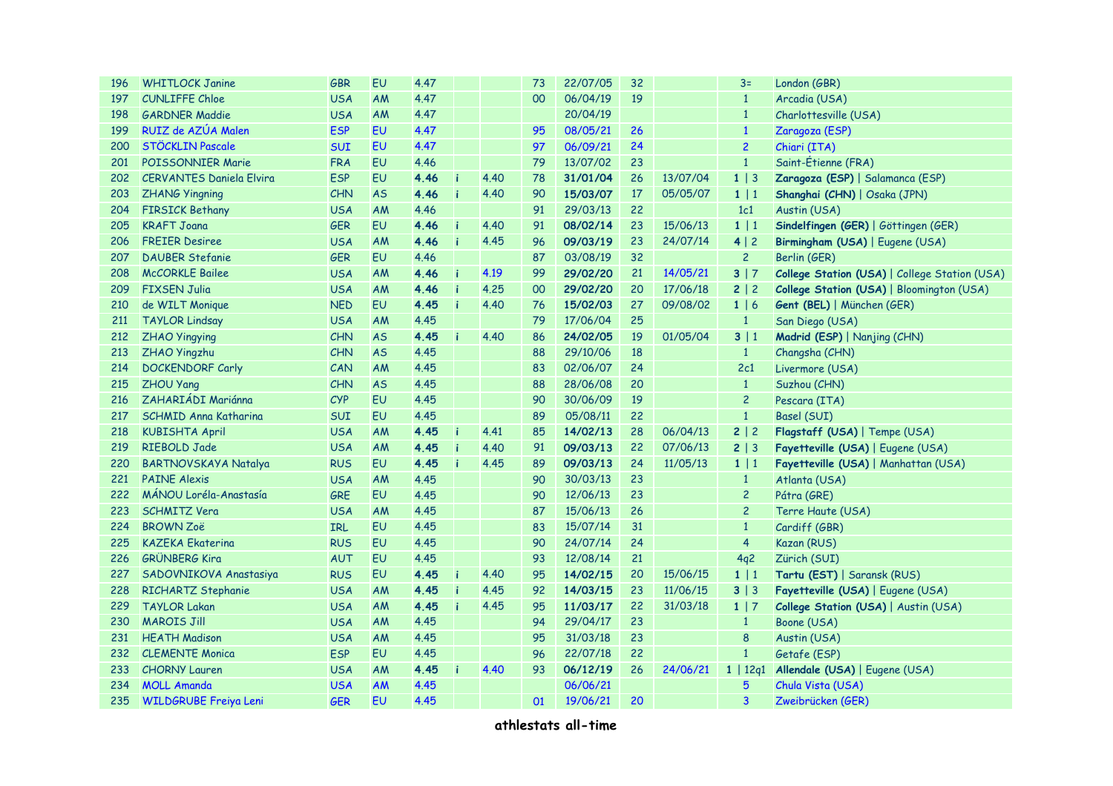| 196 | <b>WHITLOCK Janine</b>          | <b>GBR</b> | EU        | 4.47 |    |      | 73 | 22/07/05 | 32 |          | $3=$           | London (GBR)                                  |  |  |
|-----|---------------------------------|------------|-----------|------|----|------|----|----------|----|----------|----------------|-----------------------------------------------|--|--|
| 197 | <b>CUNLIFFE Chloe</b>           | <b>USA</b> | AM        | 4.47 |    |      | 00 | 06/04/19 | 19 |          | $\mathbf{1}$   | Arcadia (USA)                                 |  |  |
| 198 | <b>GARDNER Maddie</b>           | <b>USA</b> | <b>AM</b> | 4.47 |    |      |    | 20/04/19 |    |          | $\mathbf{1}$   | Charlottesville (USA)                         |  |  |
| 199 | RUIZ de AZÚA Malen              | <b>ESP</b> | <b>EU</b> | 4.47 |    |      | 95 | 08/05/21 | 26 |          | $\mathbf{1}$   | Zaragoza (ESP)                                |  |  |
| 200 | STÖCKLIN Pascale                | <b>SUI</b> | <b>EU</b> | 4.47 |    |      | 97 | 06/09/21 | 24 |          | $\overline{c}$ | Chiari (ITA)                                  |  |  |
| 201 | <b>POISSONNIER Marie</b>        | <b>FRA</b> | EU        | 4.46 |    |      | 79 | 13/07/02 | 23 |          | $\mathbf{1}$   | Saint-Étienne (FRA)                           |  |  |
| 202 | <b>CERVANTES Daniela Elvira</b> | <b>ESP</b> | EU        | 4.46 |    | 4.40 | 78 | 31/01/04 | 26 | 13/07/04 | $1 \mid 3$     | Zaragoza (ESP)   Salamanca (ESP)              |  |  |
| 203 | <b>ZHANG Yingning</b>           | CHN        | <b>AS</b> | 4.46 | f  | 4.40 | 90 | 15/03/07 | 17 | 05/05/07 | 1   1          | Shanghai (CHN)   Osaka (JPN)                  |  |  |
| 204 | <b>FIRSICK Bethany</b>          | <b>USA</b> | <b>AM</b> | 4.46 |    |      | 91 | 29/03/13 | 22 |          | 1c1            | Austin (USA)                                  |  |  |
| 205 | <b>KRAFT Joana</b>              | <b>GER</b> | EU        | 4.46 | i  | 4.40 | 91 | 08/02/14 | 23 | 15/06/13 | 1 1            | Sindelfingen (GER)   Göttingen (GER)          |  |  |
| 206 | <b>FREIER Desiree</b>           | <b>USA</b> | <b>AM</b> | 4.46 |    | 4.45 | 96 | 09/03/19 | 23 | 24/07/14 | 4 2            | Birmingham (USA)   Eugene (USA)               |  |  |
| 207 | <b>DAUBER Stefanie</b>          | <b>GER</b> | <b>EU</b> | 4.46 |    |      | 87 | 03/08/19 | 32 |          | $\overline{c}$ | Berlin (GER)                                  |  |  |
| 208 | <b>McCORKLE Bailee</b>          | <b>USA</b> | <b>AM</b> | 4.46 | i  | 4.19 | 99 | 29/02/20 | 21 | 14/05/21 | 3 7            | College Station (USA)   College Station (USA) |  |  |
| 209 | <b>FIXSEN Julia</b>             | <b>USA</b> | <b>AM</b> | 4.46 | i  | 4.25 | 00 | 29/02/20 | 20 | 17/06/18 | 2   2          | College Station (USA)   Bloomington (USA)     |  |  |
| 210 | de WILT Monique                 | <b>NED</b> | <b>EU</b> | 4.45 | i  | 4.40 | 76 | 15/02/03 | 27 | 09/08/02 | 1   6          | Gent (BEL)   München (GER)                    |  |  |
| 211 | <b>TAYLOR Lindsay</b>           | <b>USA</b> | <b>AM</b> | 4.45 |    |      | 79 | 17/06/04 | 25 |          | $\mathbf{1}$   | San Diego (USA)                               |  |  |
| 212 | <b>ZHAO Yingying</b>            | <b>CHN</b> | <b>AS</b> | 4.45 |    | 4.40 | 86 | 24/02/05 | 19 | 01/05/04 | 3 1            | Madrid (ESP)   Nanjing (CHN)                  |  |  |
| 213 | ZHAO Yingzhu                    | <b>CHN</b> | <b>AS</b> | 4.45 |    |      | 88 | 29/10/06 | 18 |          | $\mathbf{1}$   | Changsha (CHN)                                |  |  |
| 214 | <b>DOCKENDORF Carly</b>         | CAN        | AM        | 4.45 |    |      | 83 | 02/06/07 | 24 |          | 2c1            | Livermore (USA)                               |  |  |
| 215 | <b>ZHOU Yang</b>                | CHN        | <b>AS</b> | 4.45 |    |      | 88 | 28/06/08 | 20 |          | $\mathbf{1}$   | Suzhou (CHN)                                  |  |  |
| 216 | ZAHARIÁDI Mariánna              | CYP        | EU        | 4.45 |    |      | 90 | 30/06/09 | 19 |          | $\overline{c}$ | Pescara (ITA)                                 |  |  |
| 217 | <b>SCHMID Anna Katharina</b>    | <b>SUI</b> | EU        | 4.45 |    |      | 89 | 05/08/11 | 22 |          | $\mathbf{1}$   | Basel (SUI)                                   |  |  |
| 218 | <b>KUBISHTA April</b>           | <b>USA</b> | AM        | 4.45 | i  | 4.41 | 85 | 14/02/13 | 28 | 06/04/13 | 2 2            | Flagstaff (USA)   Tempe (USA)                 |  |  |
| 219 | <b>RIEBOLD Jade</b>             | <b>USA</b> | AM        | 4.45 | ۱i | 4.40 | 91 | 09/03/13 | 22 | 07/06/13 | 2   3          | Fayetteville (USA)   Eugene (USA)             |  |  |
| 220 | <b>BARTNOVSKAYA Natalya</b>     | <b>RUS</b> | <b>EU</b> | 4.45 |    | 4.45 | 89 | 09/03/13 | 24 | 11/05/13 | $1 \mid 1$     | Fayetteville (USA)   Manhattan (USA)          |  |  |
| 221 | <b>PAINE Alexis</b>             | <b>USA</b> | <b>AM</b> | 4.45 |    |      | 90 | 30/03/13 | 23 |          | $\mathbf{1}$   | Atlanta (USA)                                 |  |  |
| 222 | MÁNOU Loréla-Anastasía          | <b>GRE</b> | <b>EU</b> | 4.45 |    |      | 90 | 12/06/13 | 23 |          | $\overline{c}$ | Pátra (GRE)                                   |  |  |
| 223 | <b>SCHMITZ Vera</b>             | <b>USA</b> | AM        | 4.45 |    |      | 87 | 15/06/13 | 26 |          | $\overline{c}$ | Terre Haute (USA)                             |  |  |
| 224 | <b>BROWN Zoë</b>                | <b>IRL</b> | <b>EU</b> | 4.45 |    |      | 83 | 15/07/14 | 31 |          | $\mathbf{1}$   | Cardiff (GBR)                                 |  |  |
| 225 | <b>KAZEKA Ekaterina</b>         | <b>RUS</b> | <b>EU</b> | 4.45 |    |      | 90 | 24/07/14 | 24 |          | $\overline{4}$ | Kazan (RUS)                                   |  |  |
| 226 | <b>GRÜNBERG Kira</b>            | <b>AUT</b> | <b>EU</b> | 4.45 |    |      | 93 | 12/08/14 | 21 |          | 4q2            | Zürich (SUI)                                  |  |  |
| 227 | SADOVNIKOVA Anastasiya          | <b>RUS</b> | <b>EU</b> | 4.45 | h  | 4.40 | 95 | 14/02/15 | 20 | 15/06/15 | 1 1            | Tartu (EST)   Saransk (RUS)                   |  |  |
| 228 | RICHARTZ Stephanie              | <b>USA</b> | <b>AM</b> | 4.45 | i  | 4.45 | 92 | 14/03/15 | 23 | 11/06/15 | $3 \mid 3$     | Fayetteville (USA)   Eugene (USA)             |  |  |
| 229 | <b>TAYLOR Lakan</b>             | <b>USA</b> | AM        | 4.45 |    | 4.45 | 95 | 11/03/17 | 22 | 31/03/18 | $1 \mid 7$     | College Station (USA)   Austin (USA)          |  |  |
| 230 | <b>MAROIS Jill</b>              | <b>USA</b> | AM        | 4.45 |    |      | 94 | 29/04/17 | 23 |          | $\mathbf{1}$   | Boone (USA)                                   |  |  |
| 231 | <b>HEATH Madison</b>            | <b>USA</b> | AM        | 4.45 |    |      | 95 | 31/03/18 | 23 |          | 8              | Austin (USA)                                  |  |  |
| 232 | <b>CLEMENTE Monica</b>          | <b>ESP</b> | EU        | 4.45 |    |      | 96 | 22/07/18 | 22 |          | $\mathbf{1}$   | Getafe (ESP)                                  |  |  |
| 233 | <b>CHORNY Lauren</b>            | <b>USA</b> | <b>AM</b> | 4.45 |    | 4.40 | 93 | 06/12/19 | 26 | 24/06/21 | 1   12q1       | Allendale (USA)   Eugene (USA)                |  |  |
| 234 | <b>MOLL Amanda</b>              | <b>USA</b> | <b>AM</b> | 4.45 |    |      |    | 06/06/21 |    |          | 5              | Chula Vista (USA)                             |  |  |
| 235 | <b>WILDGRUBE Freiya Leni</b>    | <b>GER</b> | EU        | 4.45 |    |      | 01 | 19/06/21 | 20 |          | 3              | Zweibrücken (GER)                             |  |  |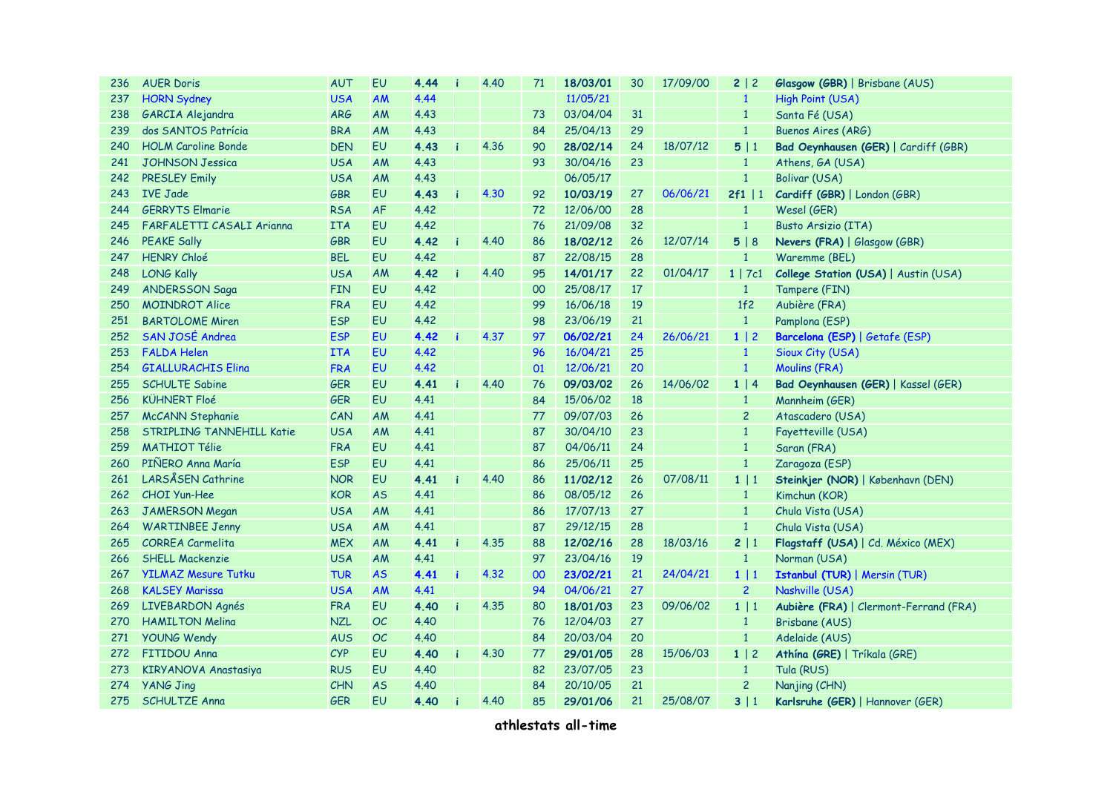| 236 | <b>AUER Doris</b>                | <b>AUT</b> | EU        | 4.44 | 4.40 | 71 | 18/03/01 | 30 | 17/09/00 | 2 2            | Glasgow (GBR)   Brisbane (AUS)         |  |  |  |
|-----|----------------------------------|------------|-----------|------|------|----|----------|----|----------|----------------|----------------------------------------|--|--|--|
| 237 | <b>HORN Sydney</b>               | <b>USA</b> | AM        | 4.44 |      |    | 11/05/21 |    |          | $\mathbf{1}$   | High Point (USA)                       |  |  |  |
| 238 | GARCIA Alejandra                 | <b>ARG</b> | AM        | 4.43 |      | 73 | 03/04/04 | 31 |          | $\mathbf{1}$   | Santa Fé (USA)                         |  |  |  |
| 239 | dos SANTOS Patrícia              | <b>BRA</b> | AM        | 4.43 |      | 84 | 25/04/13 | 29 |          | $\mathbf{1}$   | <b>Buenos Aires (ARG)</b>              |  |  |  |
| 240 | <b>HOLM Caroline Bonde</b>       | <b>DEN</b> | EU        | 4.43 | 4.36 | 90 | 28/02/14 | 24 | 18/07/12 | 5 1            | Bad Oeynhausen (GER)   Cardiff (GBR)   |  |  |  |
| 241 | <b>JOHNSON Jessica</b>           | <b>USA</b> | AM        | 4.43 |      | 93 | 30/04/16 | 23 |          | $\mathbf{1}$   | Athens, GA (USA)                       |  |  |  |
| 242 | <b>PRESLEY Emily</b>             | <b>USA</b> | <b>AM</b> | 4.43 |      |    | 06/05/17 |    |          | $\mathbf{1}$   | Bolivar (USA)                          |  |  |  |
| 243 | <b>IVE Jade</b>                  | <b>GBR</b> | EU        | 4.43 | 4.30 | 92 | 10/03/19 | 27 | 06/06/21 | $2f1$   1      | Cardiff (GBR)   London (GBR)           |  |  |  |
| 244 | <b>GERRYTS Elmarie</b>           | <b>RSA</b> | <b>AF</b> | 4.42 |      | 72 | 12/06/00 | 28 |          | $\mathbf{1}$   | Wesel (GER)                            |  |  |  |
| 245 | FARFALETTI CASALI Arianna        | <b>ITA</b> | EU        | 4.42 |      | 76 | 21/09/08 | 32 |          | $\mathbf{1}$   | Busto Arsizio (ITA)                    |  |  |  |
| 246 | <b>PEAKE Sally</b>               | <b>GBR</b> | EU        | 4.42 | 4.40 | 86 | 18/02/12 | 26 | 12/07/14 | 5 8            | Nevers (FRA)   Glasgow (GBR)           |  |  |  |
| 247 | <b>HENRY Chloé</b>               | <b>BEL</b> | EU        | 4.42 |      | 87 | 22/08/15 | 28 |          | $\mathbf{1}$   | Waremme (BEL)                          |  |  |  |
| 248 | <b>LONG Kally</b>                | <b>USA</b> | <b>AM</b> | 4.42 | 4.40 | 95 | 14/01/17 | 22 | 01/04/17 | $1 \mid 7c1$   | College Station (USA)   Austin (USA)   |  |  |  |
| 249 | <b>ANDERSSON Saga</b>            | <b>FIN</b> | EU        | 4.42 |      | 00 | 25/08/17 | 17 |          | $\mathbf{1}$   | Tampere (FIN)                          |  |  |  |
| 250 | <b>MOINDROT Alice</b>            | <b>FRA</b> | EU        | 4.42 |      | 99 | 16/06/18 | 19 |          | 1f2            | Aubière (FRA)                          |  |  |  |
| 251 | <b>BARTOLOME Miren</b>           | <b>ESP</b> | EU        | 4.42 |      | 98 | 23/06/19 | 21 |          | $\mathbf{1}$   | Pamplona (ESP)                         |  |  |  |
| 252 | SAN JOSÉ Andrea                  | <b>ESP</b> | EU        | 4.42 | 4.37 | 97 | 06/02/21 | 24 | 26/06/21 | 1 2            | Barcelona (ESP)   Getafe (ESP)         |  |  |  |
| 253 | <b>FALDA Helen</b>               | <b>ITA</b> | EU        | 4.42 |      | 96 | 16/04/21 | 25 |          | $\mathbf{1}$   | Sioux City (USA)                       |  |  |  |
| 254 | <b>GIALLURACHIS Elina</b>        | <b>FRA</b> | EU        | 4.42 |      | 01 | 12/06/21 | 20 |          | $\mathbf{1}$   | <b>Moulins (FRA)</b>                   |  |  |  |
| 255 | <b>SCHULTE Sabine</b>            | <b>GER</b> | EU        | 4.41 | 4.40 | 76 | 09/03/02 | 26 | 14/06/02 | 1   4          | Bad Oeynhausen (GER)   Kassel (GER)    |  |  |  |
| 256 | <b>KÜHNERT Floé</b>              | <b>GER</b> | EU        | 4.41 |      | 84 | 15/06/02 | 18 |          | $\mathbf{1}$   | Mannheim (GER)                         |  |  |  |
| 257 | <b>McCANN Stephanie</b>          | CAN        | <b>AM</b> | 4.41 |      | 77 | 09/07/03 | 26 |          | $\overline{c}$ | Atascadero (USA)                       |  |  |  |
| 258 | <b>STRIPLING TANNEHILL Katie</b> | <b>USA</b> | <b>AM</b> | 4.41 |      | 87 | 30/04/10 | 23 |          | $\mathbf{1}$   | Fayetteville (USA)                     |  |  |  |
| 259 | <b>MATHIOT Télie</b>             | <b>FRA</b> | EU        | 4.41 |      | 87 | 04/06/11 | 24 |          | $\mathbf{1}$   | Saran (FRA)                            |  |  |  |
| 260 | PIÑERO Anna María                | <b>ESP</b> | EU        | 4.41 |      | 86 | 25/06/11 | 25 |          | $\mathbf{1}$   | Zaragoza (ESP)                         |  |  |  |
| 261 | LARSÅSEN Cathrine                | <b>NOR</b> | EU        | 4.41 | 4.40 | 86 | 11/02/12 | 26 | 07/08/11 | 1 1            | Steinkjer (NOR)   København (DEN)      |  |  |  |
| 262 | <b>CHOI Yun-Hee</b>              | <b>KOR</b> | <b>AS</b> | 4.41 |      | 86 | 08/05/12 | 26 |          | $\mathbf{1}$   | Kimchun (KOR)                          |  |  |  |
| 263 | <b>JAMERSON Megan</b>            | <b>USA</b> | <b>AM</b> | 4.41 |      | 86 | 17/07/13 | 27 |          | $\mathbf{1}$   | Chula Vista (USA)                      |  |  |  |
| 264 | <b>WARTINBEE Jenny</b>           | <b>USA</b> | <b>AM</b> | 4.41 |      | 87 | 29/12/15 | 28 |          | $\mathbf{1}$   | Chula Vista (USA)                      |  |  |  |
| 265 | <b>CORREA Carmelita</b>          | <b>MEX</b> | <b>AM</b> | 4.41 | 4.35 | 88 | 12/02/16 | 28 | 18/03/16 | 2   1          | Flagstaff (USA)   Cd. México (MEX)     |  |  |  |
| 266 | <b>SHELL Mackenzie</b>           | <b>USA</b> | AM        | 4.41 |      | 97 | 23/04/16 | 19 |          | $\mathbf{1}$   | Norman (USA)                           |  |  |  |
| 267 | <b>YILMAZ Mesure Tutku</b>       | <b>TUR</b> | <b>AS</b> | 4.41 | 4.32 | 00 | 23/02/21 | 21 | 24/04/21 | 1 1            | <b>Istanbul (TUR)   Mersin (TUR)</b>   |  |  |  |
| 268 | <b>KALSEY Marissa</b>            | <b>USA</b> | <b>AM</b> | 4.41 |      | 94 | 04/06/21 | 27 |          | $\overline{2}$ | Nashville (USA)                        |  |  |  |
| 269 | <b>LIVEBARDON Agnés</b>          | FRA        | EU        | 4.40 | 4.35 | 80 | 18/01/03 | 23 | 09/06/02 | 1 1            | Aubière (FRA)   Clermont-Ferrand (FRA) |  |  |  |
| 270 | <b>HAMILTON Melina</b>           | <b>NZL</b> | <b>OC</b> | 4.40 |      | 76 | 12/04/03 | 27 |          | $\mathbf{1}$   | Brisbane (AUS)                         |  |  |  |
| 271 | <b>YOUNG Wendy</b>               | <b>AUS</b> | OC        | 4.40 |      | 84 | 20/03/04 | 20 |          | $\mathbf{1}$   | Adelaide (AUS)                         |  |  |  |
| 272 | <b>FITIDOU Anna</b>              | <b>CYP</b> | EU        | 4.40 | 4.30 | 77 | 29/01/05 | 28 | 15/06/03 | $1 \mid 2$     | Athína (GRE)   Tríkala (GRE)           |  |  |  |
| 273 | KIRYANOVA Anastasiya             | <b>RUS</b> | EU        | 4.40 |      | 82 | 23/07/05 | 23 |          | $\mathbf{1}$   | Tula (RUS)                             |  |  |  |
| 274 | <b>YANG Jing</b>                 | <b>CHN</b> | <b>AS</b> | 4.40 |      | 84 | 20/10/05 | 21 |          | $\overline{c}$ | Nanjing (CHN)                          |  |  |  |
| 275 | <b>SCHULTZE Anna</b>             | GER        | EU        | 4.40 | 4.40 | 85 | 29/01/06 | 21 | 25/08/07 | 3 1            | Karlsruhe (GER)   Hannover (GER)       |  |  |  |